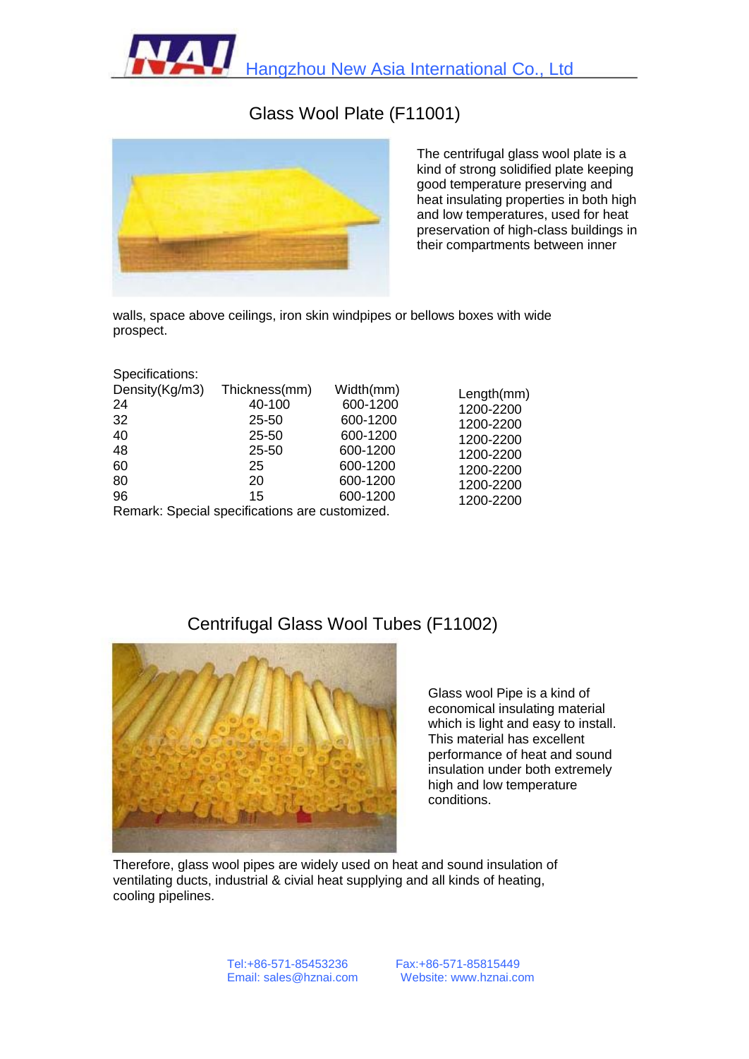Hangzhou New Asia International Co., Ltd

## Glass Wool Plate (F11001)



The centrifugal glass wool plate is a kind of strong solidified plate keeping good temperature preserving and heat insulating properties in both high and low temperatures, used for heat preservation of high-class buildings in their compartments between inner

walls, space above ceilings, iron skin windpipes or bellows boxes with wide prospect.

| Specifications: |                                                |           |                                                                                          |
|-----------------|------------------------------------------------|-----------|------------------------------------------------------------------------------------------|
| Density(Kg/m3)  | Thickness(mm)                                  | Width(mm) | Length(mm)<br>1200-2200<br>1200-2200<br>1200-2200<br>1200-2200<br>1200-2200<br>1200-2200 |
| 24              | 40-100                                         | 600-1200  |                                                                                          |
| 32              | $25 - 50$                                      | 600-1200  |                                                                                          |
| 40              | $25 - 50$                                      | 600-1200  |                                                                                          |
| 48              | 25-50                                          | 600-1200  |                                                                                          |
| 60              | 25                                             | 600-1200  |                                                                                          |
| 80              | 20                                             | 600-1200  |                                                                                          |
| 96              | 15                                             | 600-1200  | 1200-2200                                                                                |
|                 | Remark: Special specifications are customized. |           |                                                                                          |

## Centrifugal Glass Wool Tubes (F11002)



Glass wool Pipe is a kind of economical insulating material which is light and easy to install. This material has excellent performance of heat and sound insulation under both extremely high and low temperature conditions.

Therefore, glass wool pipes are widely used on heat and sound insulation of ventilating ducts, industrial & civial heat supplying and all kinds of heating, cooling pipelines.

> Tel:+86-571-85453236 Email: sales@hznai.com

Fax:+86-571-85815449 Website: www.hznai.com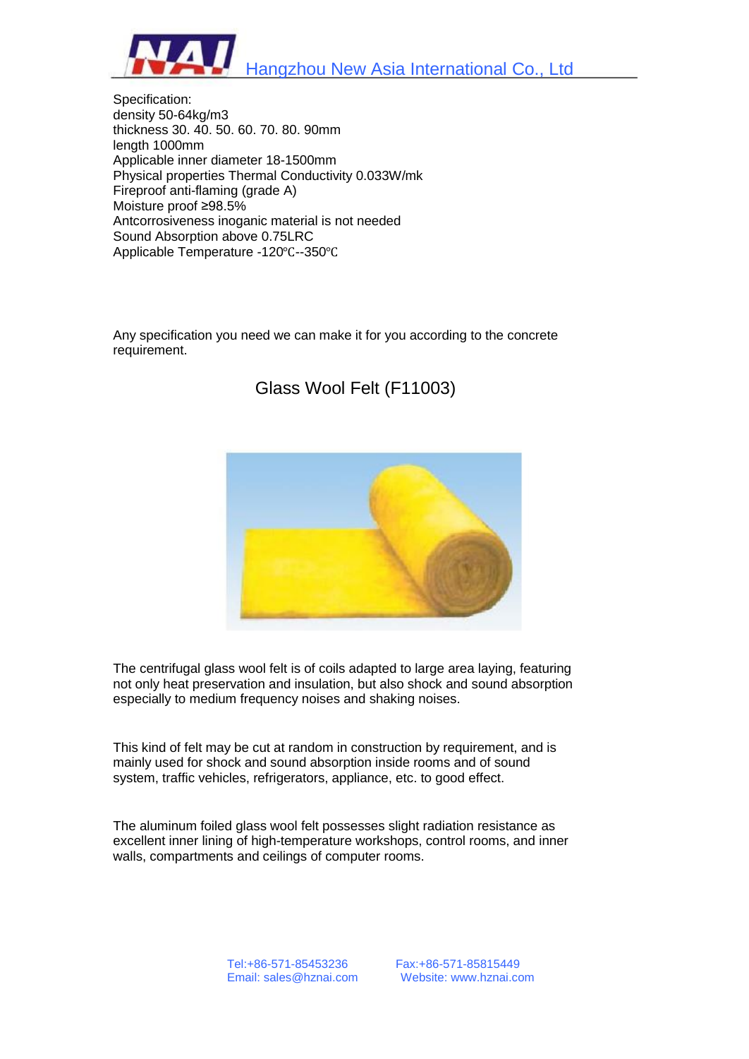Hangzhou New Asia International Co., Ltd

Specification: density 50-64kg/m3 thickness 30. 40. 50. 60. 70. 80. 90mm length 1000mm Applicable inner diameter 18-1500mm Physical properties Thermal Conductivity 0.033W/mk Fireproof anti-flaming (grade A) Moisture proof ≥98.5% Antcorrosiveness inoganic material is not needed Sound Absorption above 0.75LRC Applicable Temperature -120℃--350℃

Any specification you need we can make it for you according to the concrete requirement.

Glass Wool Felt (F11003)



The centrifugal glass wool felt is of coils adapted to large area laying, featuring not only heat preservation and insulation, but also shock and sound absorption especially to medium frequency noises and shaking noises.

This kind of felt may be cut at random in construction by requirement, and is mainly used for shock and sound absorption inside rooms and of sound system, traffic vehicles, refrigerators, appliance, etc. to good effect.

The aluminum foiled glass wool felt possesses slight radiation resistance as excellent inner lining of high-temperature workshops, control rooms, and inner walls, compartments and ceilings of computer rooms.

> Tel:+86-571-85453236 Email: sales@hznai.com

Fax:+86-571-85815449 Website: www.hznai.com